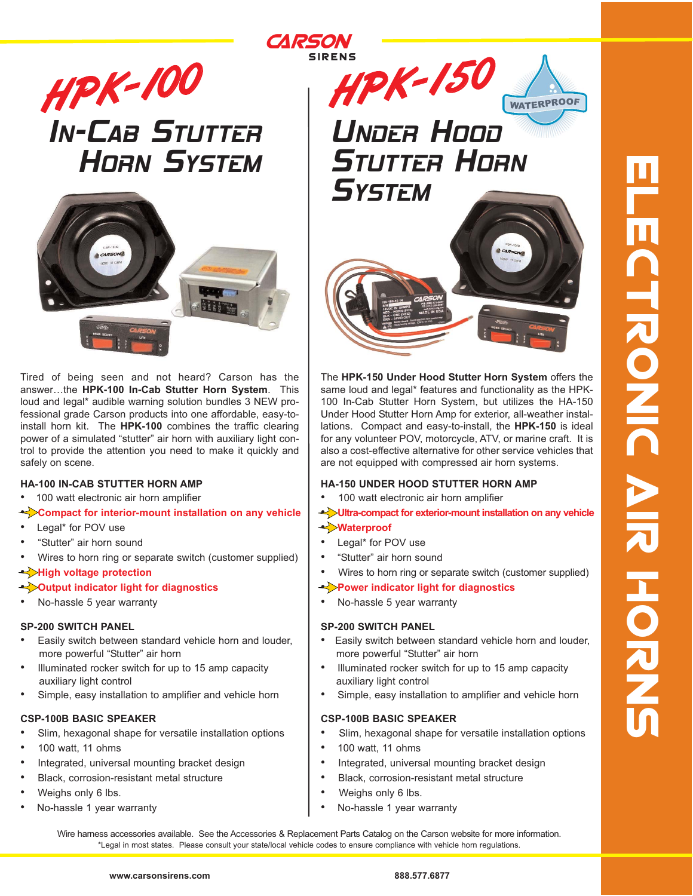

# **IN-CAB STUTTER**<br>HORN SYSTEM



Tired of being seen and not heard? Carson has the answer…the **HPK-100 In-Cab Stutter Horn System**. This loud and legal\* audible warning solution bundles 3 NEW professional grade Carson products into one affordable, easy-toinstall horn kit. The **HPK-100** combines the traffic clearing power of a simulated "stutter" air horn with auxiliary light control to provide the attention you need to make it quickly and safely on scene.

#### **HA-100 IN-CAB STUTTER HORN AMP**

- 100 watt electronic air horn amplifier
- **Compact for interior-mount installation on any vehicle**
- Legal\* for POV use
- "Stutter" air horn sound
- Wires to horn ring or separate switch (customer supplied)

#### • **High voltage protection**

- **Output indicator light for diagnostics**
- No-hassle 5 year warranty

#### **SP-200 SWITCH PANEL**

- Easily switch between standard vehicle horn and louder, more powerful "Stutter" air horn
- Illuminated rocker switch for up to 15 amp capacity auxiliary light control
- Simple, easy installation to amplifier and vehicle horn

## **CSP-100B BASIC SPEAKER**

- Slim, hexagonal shape for versatile installation options
- 100 watt, 11 ohms
- Integrated, universal mounting bracket design
- Black, corrosion-resistant metal structure
- Weighs only 6 lbs.
- No-hassle 1 year warranty



The **HPK-150 Under Hood Stutter Horn System** offers the same loud and legal\* features and functionality as the HPK-100 In-Cab Stutter Horn System, but utilizes the HA-150 Under Hood Stutter Horn Amp for exterior, all-weather installations. Compact and easy-to-install, the **HPK-150** is ideal for any volunteer POV, motorcycle, ATV, or marine craft. It is also a cost-effective alternative for other service vehicles that are not equipped with compressed air horn systems.

#### **HA-150 UNDER HOOD STUTTER HORN AMP**

• 100 watt electronic air horn amplifier

## • **Ultra-compact for exterior-mount installation on any vehicle**

#### • **Waterproof**

*CARSON*

**SIRENS** 

- Legal\* for POV use
- "Stutter" air horn sound
- Wires to horn ring or separate switch (customer supplied)

#### • **Power indicator light for diagnostics**

• No-hassle 5 year warranty

#### **SP-200 SWITCH PANEL**

- Easily switch between standard vehicle horn and louder, more powerful "Stutter" air horn
- Illuminated rocker switch for up to 15 amp capacity auxiliary light control
- Simple, easy installation to amplifier and vehicle horn

## **CSP-100B BASIC SPEAKER**

- Slim, hexagonal shape for versatile installation options
- 100 watt, 11 ohms
- Integrated, universal mounting bracket design
- Black, corrosion-resistant metal structure
- Weighs only 6 lbs.
- No-hassle 1 year warranty

\*Legal in most states. Please consult your state/local vehicle codes to ensure compliance with vehicle horn regulations. Wire harness accessories available. See the Accessories & Replacement Parts Catalog on the Carson website for more information.